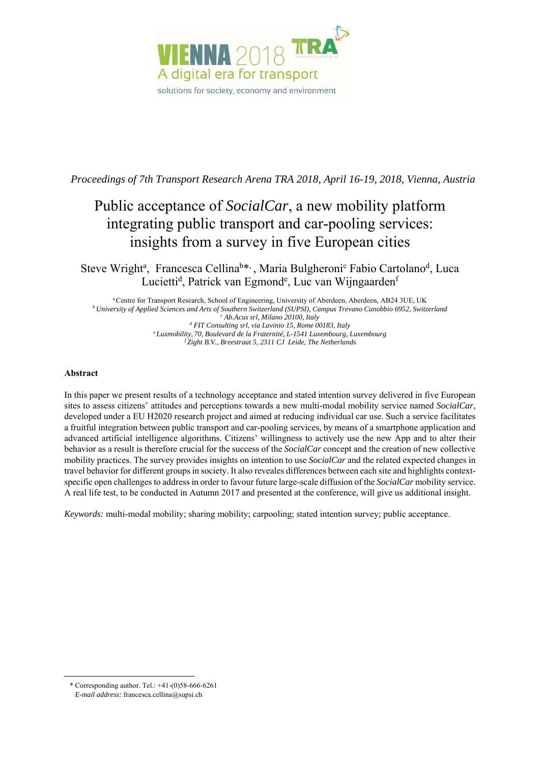

*Proceedings of 7th Transport Research Arena TRA 2018, April 16-19, 2018, Vienna, Austria* 

# Public acceptance of *SocialCar*, a new mobility platform integrating public transport and car-pooling services: insights from a survey in five European cities

Steve Wright<sup>a</sup>, Francesca Cellina<sup>b\*,</sup>, Maria Bulgheroni<sup>c</sup> Fabio Cartolano<sup>d</sup>, Luca Lucietti<sup>d</sup>, Patrick van Egmond<sup>e</sup>, Luc van Wijngaarden<sup>f</sup>

a Centre for Transport Research, School of Engineering, University of Aberdeen, Aberdeen, AB24 3UE, UK *b University of Applied Sciences and Arts of Southern Switzerland (SUPSI), Campus Trevano Canobbio 6952, Switzerland c* <sup>c</sup> Ab.Acus srl, Milano 20100, Italy  *FIT Consulting srl, via Lavinio 15, Rome 00183, Italy e Luxmobility, 70, Boulevard de la Fraternité, L-1541 Luxembourg, Luxembourg f Zight B.V., Breestraat 5, 2311 CJ Leide, The Netherlands* 

## **Abstract**

-

In this paper we present results of a technology acceptance and stated intention survey delivered in five European sites to assess citizens' attitudes and perceptions towards a new multi-modal mobility service named *SocialCar*, developed under a EU H2020 research project and aimed at reducing individual car use. Such a service facilitates a fruitful integration between public transport and car-pooling services, by means of a smartphone application and advanced artificial intelligence algorithms. Citizens' willingness to actively use the new App and to alter their behavior as a result is therefore crucial for the success of the *SocialCar* concept and the creation of new collective mobility practices. The survey provides insights on intention to use *SocialCar* and the related expected changes in travel behavior for different groups in society. It also reveales differences between each site and highlights contextspecific open challenges to address in order to favour future large-scale diffusion of the *SocialCar* mobility service. A real life test, to be conducted in Autumn 2017 and presented at the conference, will give us additional insight.

*Keywords:* multi-modal mobility; sharing mobility; carpooling; stated intention survey; public acceptance.

<sup>\*</sup> Corresponding author. Tel.:  $+41-(0)58-666-6261$ *E-mail address:* francesca.cellina@supsi.ch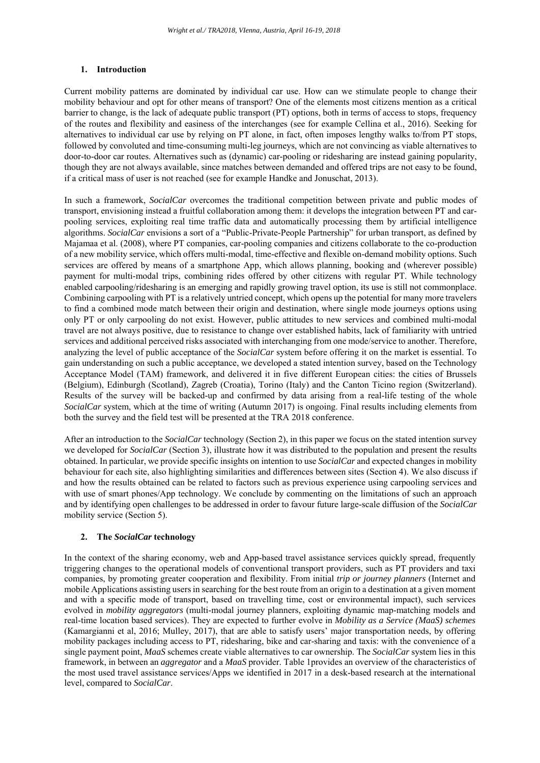#### **1. Introduction**

Current mobility patterns are dominated by individual car use. How can we stimulate people to change their mobility behaviour and opt for other means of transport? One of the elements most citizens mention as a critical barrier to change, is the lack of adequate public transport (PT) options, both in terms of access to stops, frequency of the routes and flexibility and easiness of the interchanges (see for example Cellina et al., 2016). Seeking for alternatives to individual car use by relying on PT alone, in fact, often imposes lengthy walks to/from PT stops, followed by convoluted and time-consuming multi-leg journeys, which are not convincing as viable alternatives to door-to-door car routes. Alternatives such as (dynamic) car-pooling or ridesharing are instead gaining popularity, though they are not always available, since matches between demanded and offered trips are not easy to be found, if a critical mass of user is not reached (see for example Handke and Jonuschat, 2013).

In such a framework, *SocialCar* overcomes the traditional competition between private and public modes of transport, envisioning instead a fruitful collaboration among them: it develops the integration between PT and carpooling services, exploiting real time traffic data and automatically processing them by artificial intelligence algorithms. *SocialCar* envisions a sort of a "Public-Private-People Partnership" for urban transport, as defined by Majamaa et al. (2008), where PT companies, car-pooling companies and citizens collaborate to the co-production of a new mobility service, which offers multi-modal, time-effective and flexible on-demand mobility options. Such services are offered by means of a smartphone App, which allows planning, booking and (wherever possible) payment for multi-modal trips, combining rides offered by other citizens with regular PT. While technology enabled carpooling/ridesharing is an emerging and rapidly growing travel option, its use is still not commonplace. Combining carpooling with PT is a relatively untried concept, which opens up the potential for many more travelers to find a combined mode match between their origin and destination, where single mode journeys options using only PT or only carpooling do not exist. However, public attitudes to new services and combined multi-modal travel are not always positive, due to resistance to change over established habits, lack of familiarity with untried services and additional perceived risks associated with interchanging from one mode/service to another. Therefore, analyzing the level of public acceptance of the *SocialCar* system before offering it on the market is essential. To gain understanding on such a public acceptance, we developed a stated intention survey, based on the Technology Acceptance Model (TAM) framework, and delivered it in five different European cities: the cities of Brussels (Belgium), Edinburgh (Scotland), Zagreb (Croatia), Torino (Italy) and the Canton Ticino region (Switzerland). Results of the survey will be backed-up and confirmed by data arising from a real-life testing of the whole *SocialCar* system, which at the time of writing (Autumn 2017) is ongoing. Final results including elements from both the survey and the field test will be presented at the TRA 2018 conference.

After an introduction to the *SocialCar* technology (Section 2), in this paper we focus on the stated intention survey we developed for *SocialCar* (Section 3), illustrate how it was distributed to the population and present the results obtained. In particular, we provide specific insights on intention to use *SocialCar* and expected changes in mobility behaviour for each site, also highlighting similarities and differences between sites (Section 4). We also discuss if and how the results obtained can be related to factors such as previous experience using carpooling services and with use of smart phones/App technology. We conclude by commenting on the limitations of such an approach and by identifying open challenges to be addressed in order to favour future large-scale diffusion of the *SocialCar* mobility service (Section 5).

## **2. The** *SocialCar* **technology**

In the context of the sharing economy, web and App-based travel assistance services quickly spread, frequently triggering changes to the operational models of conventional transport providers, such as PT providers and taxi companies, by promoting greater cooperation and flexibility. From initial *trip or journey planners* (Internet and mobile Applications assisting users in searching for the best route from an origin to a destination at a given moment and with a specific mode of transport, based on travelling time, cost or environmental impact), such services evolved in *mobility aggregators* (multi-modal journey planners, exploiting dynamic map-matching models and real-time location based services). They are expected to further evolve in *Mobility as a Service (MaaS) schemes* (Kamargianni et al, 2016; Mulley, 2017), that are able to satisfy users' major transportation needs, by offering mobility packages including access to PT, ridesharing, bike and car-sharing and taxis: with the convenience of a single payment point, *MaaS* schemes create viable alternatives to car ownership. The *SocialCar* system lies in this framework, in between an *aggregator* and a *MaaS* provider. Table 1provides an overview of the characteristics of the most used travel assistance services/Apps we identified in 2017 in a desk-based research at the international level, compared to *SocialCar*.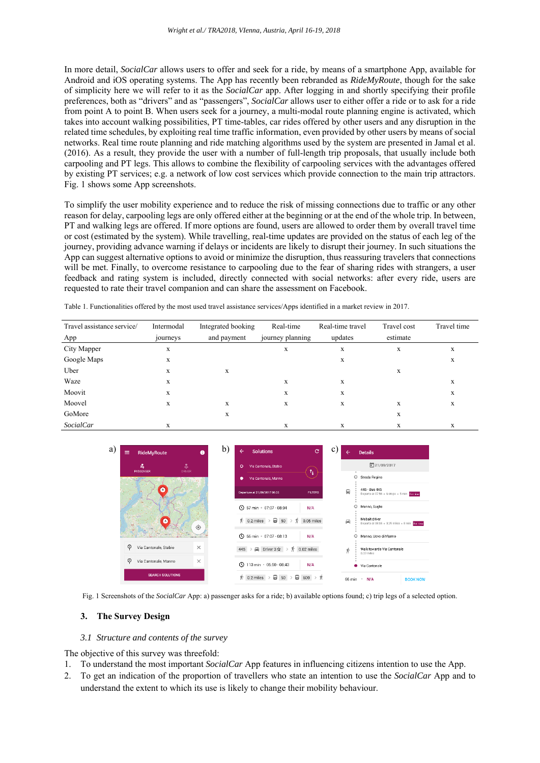In more detail, *SocialCar* allows users to offer and seek for a ride, by means of a smartphone App, available for Android and iOS operating systems. The App has recently been rebranded as *RideMyRoute*, though for the sake of simplicity here we will refer to it as the *SocialCar* app. After logging in and shortly specifying their profile preferences, both as "drivers" and as "passengers", *SocialCar* allows user to either offer a ride or to ask for a ride from point A to point B. When users seek for a journey, a multi-modal route planning engine is activated, which takes into account walking possibilities, PT time-tables, car rides offered by other users and any disruption in the related time schedules, by exploiting real time traffic information, even provided by other users by means of social networks. Real time route planning and ride matching algorithms used by the system are presented in Jamal et al. (2016). As a result, they provide the user with a number of full-length trip proposals, that usually include both carpooling and PT legs. This allows to combine the flexibility of carpooling services with the advantages offered by existing PT services; e.g. a network of low cost services which provide connection to the main trip attractors. Fig. 1 shows some App screenshots.

To simplify the user mobility experience and to reduce the risk of missing connections due to traffic or any other reason for delay, carpooling legs are only offered either at the beginning or at the end of the whole trip. In between, PT and walking legs are offered. If more options are found, users are allowed to order them by overall travel time or cost (estimated by the system). While travelling, real-time updates are provided on the status of each leg of the journey, providing advance warning if delays or incidents are likely to disrupt their journey. In such situations the App can suggest alternative options to avoid or minimize the disruption, thus reassuring travelers that connections will be met. Finally, to overcome resistance to carpooling due to the fear of sharing rides with strangers, a user feedback and rating system is included, directly connected with social networks: after every ride, users are requested to rate their travel companion and can share the assessment on Facebook.

Table 1. Functionalities offered by the most used travel assistance services/Apps identified in a market review in 2017.

| Travel assistance service/ | Intermodal | Integrated booking | Real-time        | Real-time travel | Travel cost | Travel time |
|----------------------------|------------|--------------------|------------------|------------------|-------------|-------------|
| App                        | journeys   | and payment        | journey planning | updates          | estimate    |             |
| City Mapper                | X          |                    | л                | X                | x           | X           |
| Google Maps                | X          |                    |                  | X                |             | X           |
| Uber                       | X          | X                  |                  |                  | X           |             |
| Waze                       | X          |                    | X                | X                |             | X           |
| Moovit                     | X          |                    | X                | X                |             | X           |
| Moovel                     | X          | X                  | X                | X                | X           | X           |
| GoMore                     |            | X                  |                  |                  | X           |             |
| <i>SocialCar</i>           | X          |                    | л                | л                | x           | X           |



Fig. 1 Screenshots of the *SocialCar* App: a) passenger asks for a ride; b) available options found; c) trip legs of a selected option.

#### **3. The Survey Design**

#### *3.1 Structure and contents of the survey*

The objective of this survey was threefold:

- 1. To understand the most important *SocialCar* App features in influencing citizens intention to use the App.
- 2. To get an indication of the proportion of travellers who state an intention to use the *SocialCar* App and to understand the extent to which its use is likely to change their mobility behaviour.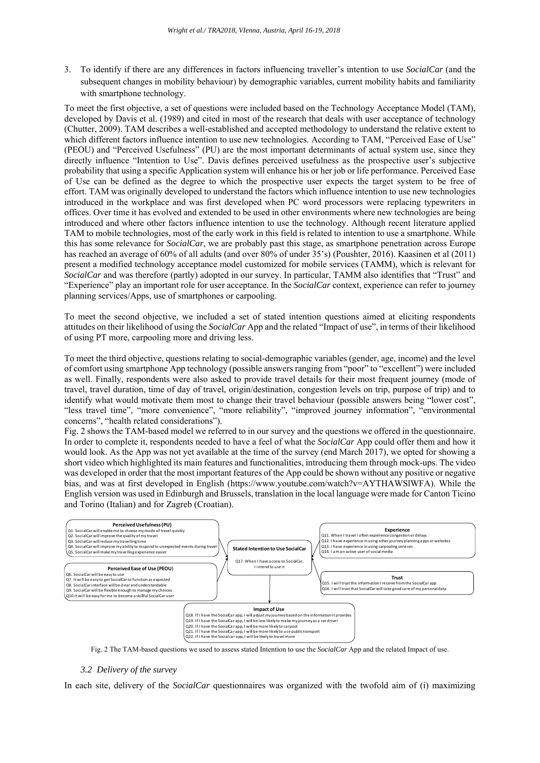3. To identify if there are any differences in factors influencing traveller's intention to use *SocialCar* (and the subsequent changes in mobility behaviour) by demographic variables, current mobility habits and familiarity with smartphone technology.

To meet the first objective, a set of questions were included based on the Technology Acceptance Model (TAM), developed by Davis et al. (1989) and cited in most of the research that deals with user acceptance of technology (Chutter, 2009). TAM describes a well-established and accepted methodology to understand the relative extent to which different factors influence intention to use new technologies. According to TAM, "Perceived Ease of Use" (PEOU) and "Perceived Usefulness" (PU) are the most important determinants of actual system use, since they directly influence "Intention to Use". Davis defines perceived usefulness as the prospective user's subjective probability that using a specific Application system will enhance his or her job or life performance. Perceived Ease of Use can be defined as the degree to which the prospective user expects the target system to be free of effort. TAM was originally developed to understand the factors which influence intention to use new technologies introduced in the workplace and was first developed when PC word processors were replacing typewriters in offices. Over time it has evolved and extended to be used in other environments where new technologies are being introduced and where other factors influence intention to use the technology. Although recent literature applied TAM to mobile technologies, most of the early work in this field is related to intention to use a smartphone. While this has some relevance for *SocialCar*, we are probably past this stage, as smartphone penetration across Europe has reached an average of 60% of all adults (and over 80% of under 35's) (Poushter, 2016). Kaasinen et al (2011) present a modified technology acceptance model customized for mobile services (TAMM), which is relevant for *SocialCar* and was therefore (partly) adopted in our survey. In particular, TAMM also identifies that "Trust" and "Experience" play an important role for user acceptance. In the *SocialCar* context, experience can refer to journey planning services/Apps, use of smartphones or carpooling.

To meet the second objective, we included a set of stated intention questions aimed at eliciting respondents attitudes on their likelihood of using the *SocialCar* App and the related "Impact of use", in terms of their likelihood of using PT more, carpooling more and driving less.

To meet the third objective, questions relating to social-demographic variables (gender, age, income) and the level of comfort using smartphone App technology (possible answers ranging from "poor" to "excellent") were included as well. Finally, respondents were also asked to provide travel details for their most frequent journey (mode of travel, travel duration, time of day of travel, origin/destination, congestion levels on trip, purpose of trip) and to identify what would motivate them most to change their travel behaviour (possible answers being "lower cost", "less travel time", "more convenience", "more reliability", "improved journey information", "environmental concerns", "health related considerations").

Fig. 2 shows the TAM-based model we referred to in our survey and the questions we offered in the questionnaire. In order to complete it, respondents needed to have a feel of what the *SocialCar* App could offer them and how it would look. As the App was not yet available at the time of the survey (end March 2017), we opted for showing a short video which highlighted its main features and functionalities, introducing them through mock-ups. The video was developed in order that the most important features of the App could be shown without any positive or negative bias, and was at first developed in English (https://www.youtube.com/watch?v=AYTHAWSlWFA). While the English version was used in Edinburgh and Brussels, translation in the local language were made for Canton Ticino and Torino (Italian) and for Zagreb (Croatian).



Fig. 2 The TAM-based questions we used to assess stated Intention to use the *SocialCar* App and the related Impact of use.

## *3.2 Delivery of the survey*

In each site, delivery of the *SocialCar* questionnaires was organized with the twofold aim of (i) maximizing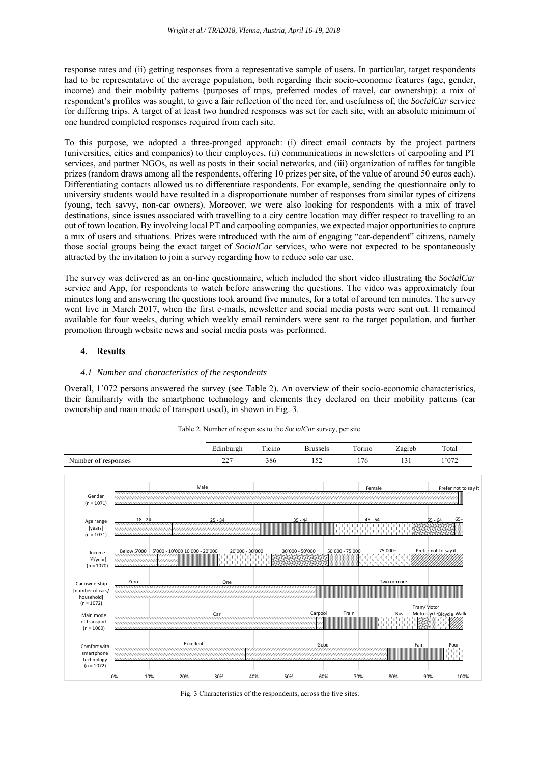response rates and (ii) getting responses from a representative sample of users. In particular, target respondents had to be representative of the average population, both regarding their socio-economic features (age, gender, income) and their mobility patterns (purposes of trips, preferred modes of travel, car ownership): a mix of respondent's profiles was sought, to give a fair reflection of the need for, and usefulness of, the *SocialCar* service for differing trips. A target of at least two hundred responses was set for each site, with an absolute minimum of one hundred completed responses required from each site.

To this purpose, we adopted a three-pronged approach: (i) direct email contacts by the project partners (universities, cities and companies) to their employees, (ii) communications in newsletters of carpooling and PT services, and partner NGOs, as well as posts in their social networks, and (iii) organization of raffles for tangible prizes (random draws among all the respondents, offering 10 prizes per site, of the value of around 50 euros each). Differentiating contacts allowed us to differentiate respondents. For example, sending the questionnaire only to university students would have resulted in a disproportionate number of responses from similar types of citizens (young, tech savvy, non-car owners). Moreover, we were also looking for respondents with a mix of travel destinations, since issues associated with travelling to a city centre location may differ respect to travelling to an out of town location. By involving local PT and carpooling companies, we expected major opportunities to capture a mix of users and situations. Prizes were introduced with the aim of engaging "car-dependent" citizens, namely those social groups being the exact target of *SocialCar* services, who were not expected to be spontaneously attracted by the invitation to join a survey regarding how to reduce solo car use.

The survey was delivered as an on-line questionnaire, which included the short video illustrating the *SocialCar* service and App, for respondents to watch before answering the questions. The video was approximately four minutes long and answering the questions took around five minutes, for a total of around ten minutes. The survey went live in March 2017, when the first e-mails, newsletter and social media posts were sent out. It remained available for four weeks, during which weekly email reminders were sent to the target population, and further promotion through website news and social media posts was performed.

### **4. Results**

#### *4.1 Number and characteristics of the respondents*

Overall, 1'072 persons answered the survey (see Table 2). An overview of their socio-economic characteristics, their familiarity with the smartphone technology and elements they declared on their mobility patterns (car ownership and main mode of transport used), in shown in Fig. 3.



Table 2. Number of responses to the *SocialCar* survey, per site.

Fig. 3 Characteristics of the respondents, across the five sites.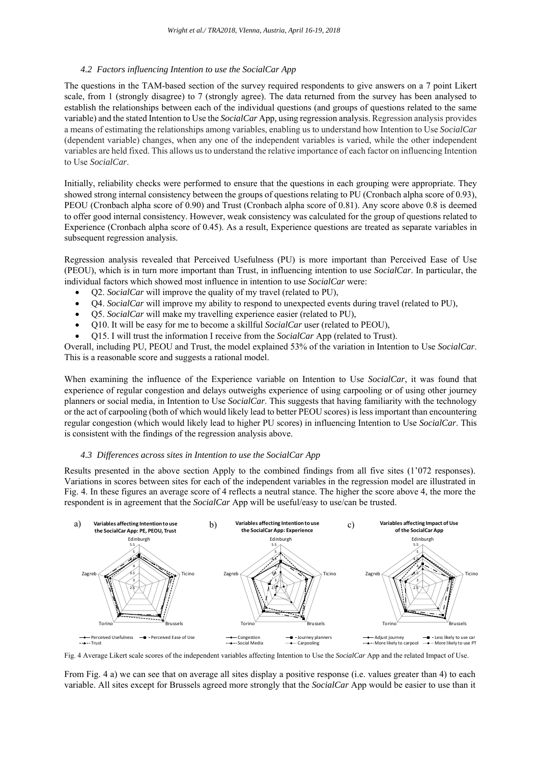#### *4.2 Factors influencing Intention to use the SocialCar App*

The questions in the TAM-based section of the survey required respondents to give answers on a 7 point Likert scale, from 1 (strongly disagree) to 7 (strongly agree). The data returned from the survey has been analysed to establish the relationships between each of the individual questions (and groups of questions related to the same variable) and the stated Intention to Use the *SocialCar* App*,* using regression analysis. Regression analysis provides a means of estimating the relationships among variables, enabling us to understand how Intention to Use *SocialCar* (dependent variable) changes, when any one of the independent variables is varied, while the other independent variables are held fixed. This allows us to understand the relative importance of each factor on influencing Intention to Use *SocialCar*.

Initially, reliability checks were performed to ensure that the questions in each grouping were appropriate. They showed strong internal consistency between the groups of questions relating to PU (Cronbach alpha score of 0.93), PEOU (Cronbach alpha score of 0.90) and Trust (Cronbach alpha score of 0.81). Any score above 0.8 is deemed to offer good internal consistency. However, weak consistency was calculated for the group of questions related to Experience (Cronbach alpha score of 0.45). As a result, Experience questions are treated as separate variables in subsequent regression analysis.

Regression analysis revealed that Perceived Usefulness (PU) is more important than Perceived Ease of Use (PEOU), which is in turn more important than Trust, in influencing intention to use *SocialCar*. In particular, the individual factors which showed most influence in intention to use *SocialCar* were:

- Q2. *SocialCar* will improve the quality of my travel (related to PU),
- Q4. *SocialCar* will improve my ability to respond to unexpected events during travel (related to PU),
- Q5. *SocialCar* will make my travelling experience easier (related to PU),
- Q10. It will be easy for me to become a skillful *SocialCar* user (related to PEOU),
- Q15. I will trust the information I receive from the *SocialCar* App (related to Trust).

Overall, including PU, PEOU and Trust, the model explained 53% of the variation in Intention to Use *SocialCar*. This is a reasonable score and suggests a rational model.

When examining the influence of the Experience variable on Intention to Use *SocialCar*, it was found that experience of regular congestion and delays outweighs experience of using carpooling or of using other journey planners or social media, in Intention to Use *SocialCar*. This suggests that having familiarity with the technology or the act of carpooling (both of which would likely lead to better PEOU scores) is less important than encountering regular congestion (which would likely lead to higher PU scores) in influencing Intention to Use *SocialCar*. This is consistent with the findings of the regression analysis above.

#### *4.3 Differences across sites in Intention to use the SocialCar App*

Results presented in the above section Apply to the combined findings from all five sites (1'072 responses). Variations in scores between sites for each of the independent variables in the regression model are illustrated in Fig. 4. In these figures an average score of 4 reflects a neutral stance. The higher the score above 4, the more the respondent is in agreement that the *SocialCar* App will be useful/easy to use/can be trusted.



Fig. 4 Average Likert scale scores of the independent variables affecting Intention to Use the *SocialCar* App and the related Impact of Use.

From Fig. 4 a) we can see that on average all sites display a positive response (i.e. values greater than 4) to each variable. All sites except for Brussels agreed more strongly that the *SocialCar* App would be easier to use than it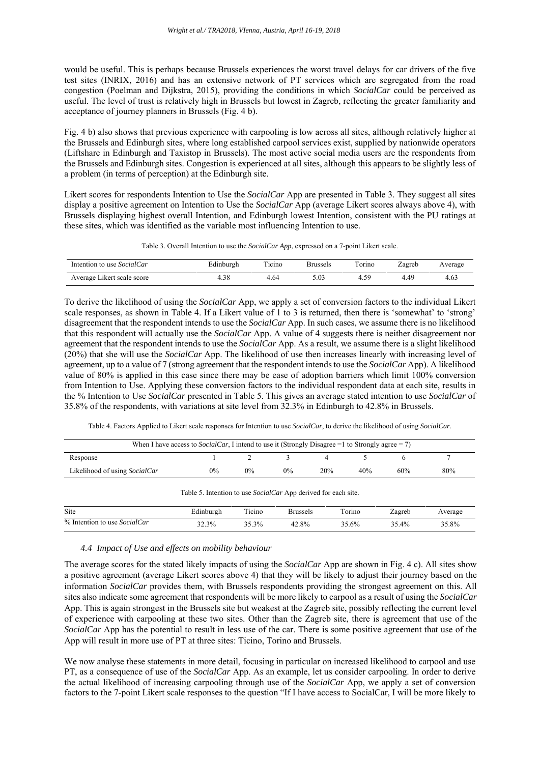would be useful. This is perhaps because Brussels experiences the worst travel delays for car drivers of the five test sites (INRIX, 2016) and has an extensive network of PT services which are segregated from the road congestion (Poelman and Dijkstra, 2015), providing the conditions in which *SocialCar* could be perceived as useful. The level of trust is relatively high in Brussels but lowest in Zagreb, reflecting the greater familiarity and acceptance of journey planners in Brussels (Fig. 4 b).

Fig. 4 b) also shows that previous experience with carpooling is low across all sites, although relatively higher at the Brussels and Edinburgh sites, where long established carpool services exist, supplied by nationwide operators (Liftshare in Edinburgh and Taxistop in Brussels). The most active social media users are the respondents from the Brussels and Edinburgh sites. Congestion is experienced at all sites, although this appears to be slightly less of a problem (in terms of perception) at the Edinburgh site.

Likert scores for respondents Intention to Use the *SocialCar* App are presented in Table 3. They suggest all sites display a positive agreement on Intention to Use the *SocialCar* App (average Likert scores always above 4), with Brussels displaying highest overall Intention, and Edinburgh lowest Intention, consistent with the PU ratings at these sites, which was identified as the variable most influencing Intention to use.

Table 3. Overall Intention to use the *SocialCar App*, expressed on a 7-point Likert scale.

| Intention to use <i>SocialCar</i> | Edinburgh | Ticino | Brussels | Torino | Zagreb | Average |
|-----------------------------------|-----------|--------|----------|--------|--------|---------|
| Average Likert scale score        |           | 4.64   |          | 4.59   | 4.49   | 4.63    |

To derive the likelihood of using the *SocialCar* App, we apply a set of conversion factors to the individual Likert scale responses, as shown in Table 4. If a Likert value of 1 to 3 is returned, then there is 'somewhat' to 'strong' disagreement that the respondent intends to use the *SocialCar* App. In such cases, we assume there is no likelihood that this respondent will actually use the *SocialCar* App. A value of 4 suggests there is neither disagreement nor agreement that the respondent intends to use the *SocialCar* App. As a result, we assume there is a slight likelihood (20%) that she will use the *SocialCar* App. The likelihood of use then increases linearly with increasing level of agreement, up to a value of 7 (strong agreement that the respondent intends to use the *SocialCar* App). A likelihood value of 80% is applied in this case since there may be ease of adoption barriers which limit 100% conversion from Intention to Use. Applying these conversion factors to the individual respondent data at each site, results in the % Intention to Use *SocialCar* presented in Table 5. This gives an average stated intention to use *SocialCar* of 35.8% of the respondents, with variations at site level from 32.3% in Edinburgh to 42.8% in Brussels.

Table 4. Factors Applied to Likert scale responses for Intention to use *SocialCar*, to derive the likelihood of using *SocialCar*.

|                                                                       | When I have access to <i>SocialCar</i> , I intend to use it (Strongly Disagree = 1 to Strongly agree = 7) |        |                 |     |        |        |         |  |  |  |  |
|-----------------------------------------------------------------------|-----------------------------------------------------------------------------------------------------------|--------|-----------------|-----|--------|--------|---------|--|--|--|--|
| Response                                                              |                                                                                                           |        |                 | 4   |        |        |         |  |  |  |  |
| Likelihood of using SocialCar                                         | $0\%$                                                                                                     | $0\%$  | $0\%$           | 20% | 40%    | 60%    | 80%     |  |  |  |  |
| Table 5. Intention to use <i>SocialCar</i> App derived for each site. |                                                                                                           |        |                 |     |        |        |         |  |  |  |  |
| Site                                                                  | Edinburgh                                                                                                 | Ticino | <b>Brussels</b> |     | Torino | Zagreb | Average |  |  |  |  |
| % Intention to use SocialCar                                          | 32.3%                                                                                                     | 35.3%  | $42.8\%$        |     | 35.6%  | 35.4%  | 35.8%   |  |  |  |  |

#### *4.4 Impact of Use and effects on mobility behaviour*

The average scores for the stated likely impacts of using the *SocialCar* App are shown in Fig. 4 c). All sites show a positive agreement (average Likert scores above 4) that they will be likely to adjust their journey based on the information *SocialCar* provides them, with Brussels respondents providing the strongest agreement on this. All sites also indicate some agreement that respondents will be more likely to carpool as a result of using the *SocialCar* App. This is again strongest in the Brussels site but weakest at the Zagreb site, possibly reflecting the current level of experience with carpooling at these two sites. Other than the Zagreb site, there is agreement that use of the *SocialCar* App has the potential to result in less use of the car. There is some positive agreement that use of the App will result in more use of PT at three sites: Ticino, Torino and Brussels.

We now analyse these statements in more detail, focusing in particular on increased likelihood to carpool and use PT, as a consequence of use of the *SocialCar* App. As an example, let us consider carpooling. In order to derive the actual likelihood of increasing carpooling through use of the *SocialCar* App, we apply a set of conversion factors to the 7-point Likert scale responses to the question "If I have access to SocialCar, I will be more likely to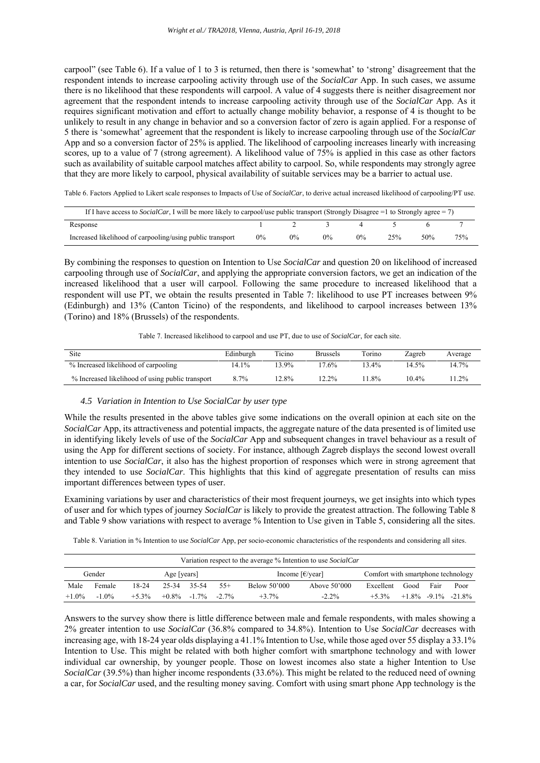carpool" (see Table 6). If a value of 1 to 3 is returned, then there is 'somewhat' to 'strong' disagreement that the respondent intends to increase carpooling activity through use of the *SocialCar* App. In such cases, we assume there is no likelihood that these respondents will carpool. A value of 4 suggests there is neither disagreement nor agreement that the respondent intends to increase carpooling activity through use of the *SocialCar* App. As it requires significant motivation and effort to actually change mobility behavior, a response of 4 is thought to be unlikely to result in any change in behavior and so a conversion factor of zero is again applied. For a response of 5 there is 'somewhat' agreement that the respondent is likely to increase carpooling through use of the *SocialCar* App and so a conversion factor of 25% is applied. The likelihood of carpooling increases linearly with increasing scores, up to a value of 7 (strong agreement). A likelihood value of 75% is applied in this case as other factors such as availability of suitable carpool matches affect ability to carpool. So, while respondents may strongly agree that they are more likely to carpool, physical availability of suitable services may be a barrier to actual use.

Table 6. Factors Applied to Likert scale responses to Impacts of Use of *SocialCar*, to derive actual increased likelihood of carpooling/PT use.

| If I have access to <i>SocialCar</i> , I will be more likely to carpool/use public transport (Strongly Disagree = 1 to Strongly agree = 7) |       |       |       |       |     |     |     |  |  |
|--------------------------------------------------------------------------------------------------------------------------------------------|-------|-------|-------|-------|-----|-----|-----|--|--|
| Response                                                                                                                                   |       |       |       |       |     |     |     |  |  |
| Increased likelihood of carpooling/using public transport                                                                                  | $0\%$ | $0\%$ | $0\%$ | $0\%$ | 25% | 50% | 75% |  |  |

By combining the responses to question on Intention to Use *SocialCar* and question 20 on likelihood of increased carpooling through use of *SocialCar*, and applying the appropriate conversion factors, we get an indication of the increased likelihood that a user will carpool. Following the same procedure to increased likelihood that a respondent will use PT, we obtain the results presented in Table 7: likelihood to use PT increases between 9% (Edinburgh) and 13% (Canton Ticino) of the respondents, and likelihood to carpool increases between 13% (Torino) and 18% (Brussels) of the respondents.

Table 7. Increased likelihood to carpool and use PT, due to use of *SocialCar*, for each site.

| Site                                             | Edinburgh | Ticino   | <b>Brussels</b> | Torino  | Zagreb   | Average |
|--------------------------------------------------|-----------|----------|-----------------|---------|----------|---------|
| % Increased likelihood of carpooling             | 14.1%     | 13.9%    | $17.6\%$        | $3.4\%$ | 14.5%    | 14.7%   |
| % Increased likelihood of using public transport | 8.7%      | $12.8\%$ | $12.2\%$        | 1.8%    | $10.4\%$ | $1.2\%$ |

#### *4.5 Variation in Intention to Use SocialCar by user type*

While the results presented in the above tables give some indications on the overall opinion at each site on the *SocialCar* App, its attractiveness and potential impacts, the aggregate nature of the data presented is of limited use in identifying likely levels of use of the *SocialCar* App and subsequent changes in travel behaviour as a result of using the App for different sections of society. For instance, although Zagreb displays the second lowest overall intention to use *SocialCar*, it also has the highest proportion of responses which were in strong agreement that they intended to use *SocialCar*. This highlights that this kind of aggregate presentation of results can miss important differences between types of user.

Examining variations by user and characteristics of their most frequent journeys, we get insights into which types of user and for which types of journey *SocialCar* is likely to provide the greatest attraction. The following Table 8 and Table 9 show variations with respect to average % Intention to Use given in Table 5, considering all the sites.

Table 8. Variation in % Intention to use *SocialCar* App, per socio-economic characteristics of the respondents and considering all sites.

|          | Variation respect to the average % Intention to use SocialCar |          |             |                |                                                     |                                    |                |           |      |      |                       |  |
|----------|---------------------------------------------------------------|----------|-------------|----------------|-----------------------------------------------------|------------------------------------|----------------|-----------|------|------|-----------------------|--|
|          | Gender<br>Age [years]                                         |          |             |                | Income $\lceil \frac{\epsilon}{\text{year}} \rceil$ | Comfort with smartphone technology |                |           |      |      |                       |  |
| Male     | Female                                                        | 18-24    | 25-34 35-54 |                | $55+$                                               | Below 50'000                       | Above $50'000$ | Excellent | Good | Fair | Poor                  |  |
| $+1.0\%$ | $-1.0\%$                                                      | $+5.3\%$ |             | $+0.8\%$ -1.7% | $-2.7\%$                                            | $+3.7%$                            | $-2.2\%$       | $+5.3\%$  |      |      | $+1.8\%$ -9.1% -21.8% |  |

Answers to the survey show there is little difference between male and female respondents, with males showing a 2% greater intention to use *SocialCar* (36.8% compared to 34.8%). Intention to Use *SocialCar* decreases with increasing age, with 18-24 year olds displaying a 41.1% Intention to Use, while those aged over 55 display a 33.1% Intention to Use. This might be related with both higher comfort with smartphone technology and with lower individual car ownership, by younger people. Those on lowest incomes also state a higher Intention to Use *SocialCar* (39.5%) than higher income respondents (33.6%). This might be related to the reduced need of owning a car, for *SocialCar* used, and the resulting money saving. Comfort with using smart phone App technology is the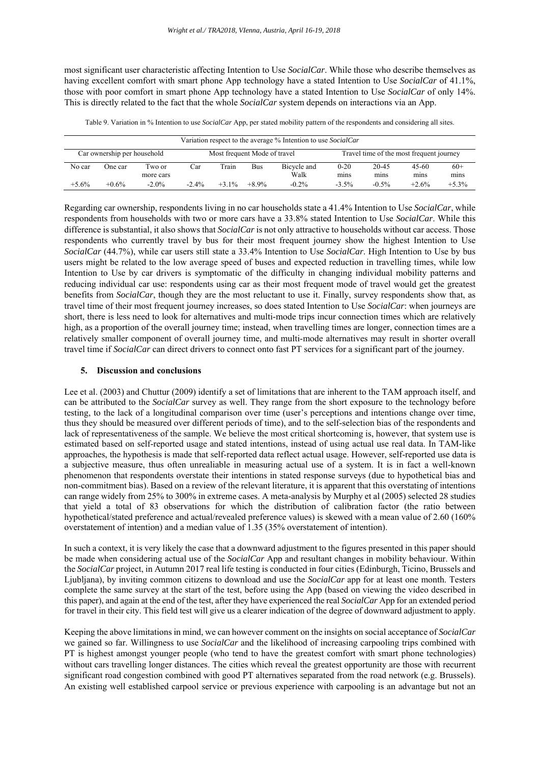most significant user characteristic affecting Intention to Use *SocialCar*. While those who describe themselves as having excellent comfort with smart phone App technology have a stated Intention to Use *SocialCar* of 41.1%, those with poor comfort in smart phone App technology have a stated Intention to Use *SocialCar* of only 14%. This is directly related to the fact that the whole *SocialCar* system depends on interactions via an App.

Table 9. Variation in % Intention to use *SocialCar* App, per stated mobility pattern of the respondents and considering all sites.

|                             | Variation respect to the average % Intention to use SocialCar |           |          |                              |            |             |          |                                          |         |         |  |  |
|-----------------------------|---------------------------------------------------------------|-----------|----------|------------------------------|------------|-------------|----------|------------------------------------------|---------|---------|--|--|
| Car ownership per household |                                                               |           |          | Most frequent Mode of travel |            |             |          | Travel time of the most frequent journey |         |         |  |  |
| No car                      | One car                                                       | Two or    | Car      | Train                        | <b>Bus</b> | Bicycle and | $0 - 20$ | 20-45                                    | $45-60$ | $60+$   |  |  |
|                             |                                                               | more cars |          |                              |            | Walk        | mins     | mins                                     | mins    | mins    |  |  |
| $+5.6%$                     | $+0.6%$                                                       | $-2.0\%$  | $-2.4\%$ | $+3.1\%$                     | $+8.9%$    | $-0.2\%$    | $-3.5\%$ | $-0.5\%$                                 | $+2.6%$ | $+5.3%$ |  |  |

Regarding car ownership, respondents living in no car households state a 41.4% Intention to Use *SocialCar*, while respondents from households with two or more cars have a 33.8% stated Intention to Use *SocialCar*. While this difference is substantial, it also shows that *SocialCar* is not only attractive to households without car access. Those respondents who currently travel by bus for their most frequent journey show the highest Intention to Use *SocialCar* (44.7%), while car users still state a 33.4% Intention to Use *SocialCar*. High Intention to Use by bus users might be related to the low average speed of buses and expected reduction in travelling times, while low Intention to Use by car drivers is symptomatic of the difficulty in changing individual mobility patterns and reducing individual car use: respondents using car as their most frequent mode of travel would get the greatest benefits from *SocialCar*, though they are the most reluctant to use it. Finally, survey respondents show that, as travel time of their most frequent journey increases, so does stated Intention to Use *SocialCar*: when journeys are short, there is less need to look for alternatives and multi-mode trips incur connection times which are relatively high, as a proportion of the overall journey time; instead, when travelling times are longer, connection times are a relatively smaller component of overall journey time, and multi-mode alternatives may result in shorter overall travel time if *SocialCar* can direct drivers to connect onto fast PT services for a significant part of the journey.

#### **5. Discussion and conclusions**

Lee et al. (2003) and Chuttur (2009) identify a set of limitations that are inherent to the TAM approach itself, and can be attributed to the *SocialCar* survey as well. They range from the short exposure to the technology before testing, to the lack of a longitudinal comparison over time (user's perceptions and intentions change over time, thus they should be measured over different periods of time), and to the self-selection bias of the respondents and lack of representativeness of the sample. We believe the most critical shortcoming is, however, that system use is estimated based on self-reported usage and stated intentions, instead of using actual use real data. In TAM-like approaches, the hypothesis is made that self-reported data reflect actual usage. However, self-reported use data is a subjective measure, thus often unrealiable in measuring actual use of a system. It is in fact a well-known phenomenon that respondents overstate their intentions in stated response surveys (due to hypothetical bias and non-commitment bias). Based on a review of the relevant literature, it is apparent that this overstating of intentions can range widely from 25% to 300% in extreme cases. A meta-analysis by Murphy et al (2005) selected 28 studies that yield a total of 83 observations for which the distribution of calibration factor (the ratio between hypothetical/stated preference and actual/revealed preference values) is skewed with a mean value of 2.60 (160% overstatement of intention) and a median value of 1.35 (35% overstatement of intention).

In such a context, it is very likely the case that a downward adjustment to the figures presented in this paper should be made when considering actual use of the *SocialCar* App and resultant changes in mobility behaviour. Within the *SocialCar* project, in Autumn 2017 real life testing is conducted in four cities (Edinburgh, Ticino, Brussels and Ljubljana), by inviting common citizens to download and use the *SocialCar* app for at least one month. Testers complete the same survey at the start of the test, before using the App (based on viewing the video described in this paper), and again at the end of the test, after they have experienced the real *SocialCar* App for an extended period for travel in their city. This field test will give us a clearer indication of the degree of downward adjustment to apply.

Keeping the above limitations in mind, we can however comment on the insights on social acceptance of *SocialCar* we gained so far. Willingness to use *SocialCar* and the likelihood of increasing carpooling trips combined with PT is highest amongst younger people (who tend to have the greatest comfort with smart phone technologies) without cars travelling longer distances. The cities which reveal the greatest opportunity are those with recurrent significant road congestion combined with good PT alternatives separated from the road network (e.g. Brussels). An existing well established carpool service or previous experience with carpooling is an advantage but not an